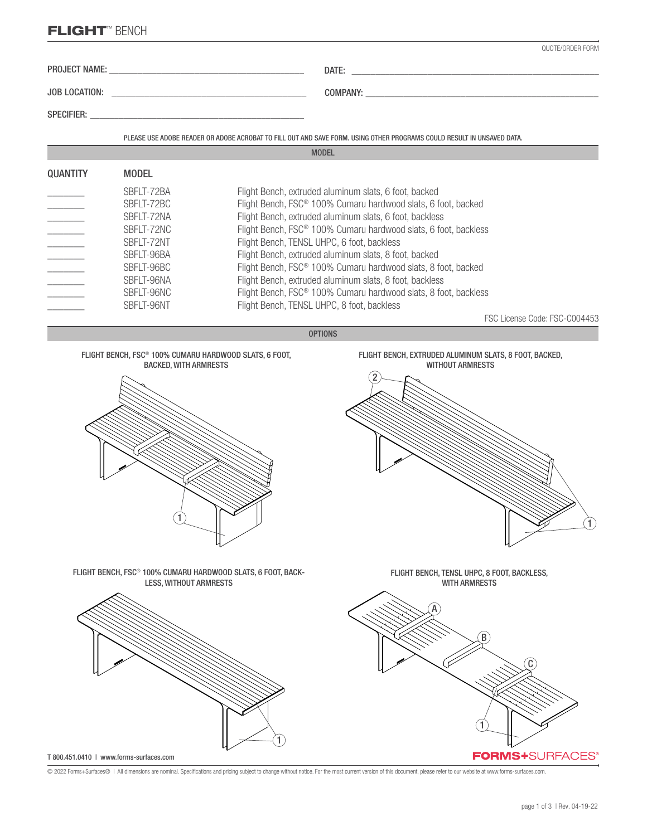# FLIGHT™ BENCH

|                 |                                                                                                                                          | QUOTE/ORDER FORM                                                                                                                                                                                                                                                                                                                                                                                                                                                                                                                                                                                                                          |
|-----------------|------------------------------------------------------------------------------------------------------------------------------------------|-------------------------------------------------------------------------------------------------------------------------------------------------------------------------------------------------------------------------------------------------------------------------------------------------------------------------------------------------------------------------------------------------------------------------------------------------------------------------------------------------------------------------------------------------------------------------------------------------------------------------------------------|
|                 |                                                                                                                                          |                                                                                                                                                                                                                                                                                                                                                                                                                                                                                                                                                                                                                                           |
|                 |                                                                                                                                          |                                                                                                                                                                                                                                                                                                                                                                                                                                                                                                                                                                                                                                           |
|                 |                                                                                                                                          |                                                                                                                                                                                                                                                                                                                                                                                                                                                                                                                                                                                                                                           |
|                 |                                                                                                                                          | PLEASE USE ADOBE READER OR ADOBE ACROBAT TO FILL OUT AND SAVE FORM. USING OTHER PROGRAMS COULD RESULT IN UNSAVED DATA.                                                                                                                                                                                                                                                                                                                                                                                                                                                                                                                    |
|                 |                                                                                                                                          | <b>MODEL</b>                                                                                                                                                                                                                                                                                                                                                                                                                                                                                                                                                                                                                              |
| <b>QUANTITY</b> | <b>MODEL</b>                                                                                                                             |                                                                                                                                                                                                                                                                                                                                                                                                                                                                                                                                                                                                                                           |
|                 | SBFLT-72BA<br>SBFLT-72BC<br>SBFLT-72NA<br>SBFLT-72NC<br>SBFLT-72NT<br>SBFLT-96BA<br>SBFLT-96BC<br>SBFLT-96NA<br>SBFLT-96NC<br>SBFLT-96NT | Flight Bench, extruded aluminum slats, 6 foot, backed<br>Flight Bench, FSC® 100% Cumaru hardwood slats, 6 foot, backed<br>Flight Bench, extruded aluminum slats, 6 foot, backless<br>Flight Bench, FSC® 100% Cumaru hardwood slats, 6 foot, backless<br>Flight Bench, TENSL UHPC, 6 foot, backless<br>Flight Bench, extruded aluminum slats, 8 foot, backed<br>Flight Bench, FSC® 100% Cumaru hardwood slats, 8 foot, backed<br>Flight Bench, extruded aluminum slats, 8 foot, backless<br>Flight Bench, FSC® 100% Cumaru hardwood slats, 8 foot, backless<br>Flight Bench, TENSL UHPC, 8 foot, backless<br>FSC License Code: FSC-C004453 |
|                 |                                                                                                                                          | <b>OPTIONS</b>                                                                                                                                                                                                                                                                                                                                                                                                                                                                                                                                                                                                                            |
|                 | FLIGHT BENCH, FSC <sup>®</sup> 100% CUMARU HARDWOOD SLATS, 6 FOOT,<br><b>BACKED, WITH ARMRESTS</b>                                       | FLIGHT BENCH, EXTRUDED ALUMINUM SLATS, 8 FOOT, BACKED,<br><b>WITHOUT ARMRESTS</b>                                                                                                                                                                                                                                                                                                                                                                                                                                                                                                                                                         |
|                 | FLIGHT BENCH, FSC® 100% CUMARU HARDWOOD SLATS, 6 FOOT, BACK-<br><b>LESS, WITHOUT ARMRESTS</b>                                            | FLIGHT BENCH, TENSL UHPC, 8 FOOT, BACKLESS,<br><b>WITH ARMRESTS</b>                                                                                                                                                                                                                                                                                                                                                                                                                                                                                                                                                                       |



© 2022 Forms+Surfaces® | All dimensions are nominal. Specifications and pricing subject to change without notice. For the most current version of this document, please refer to our website at www.forms-surfaces.com.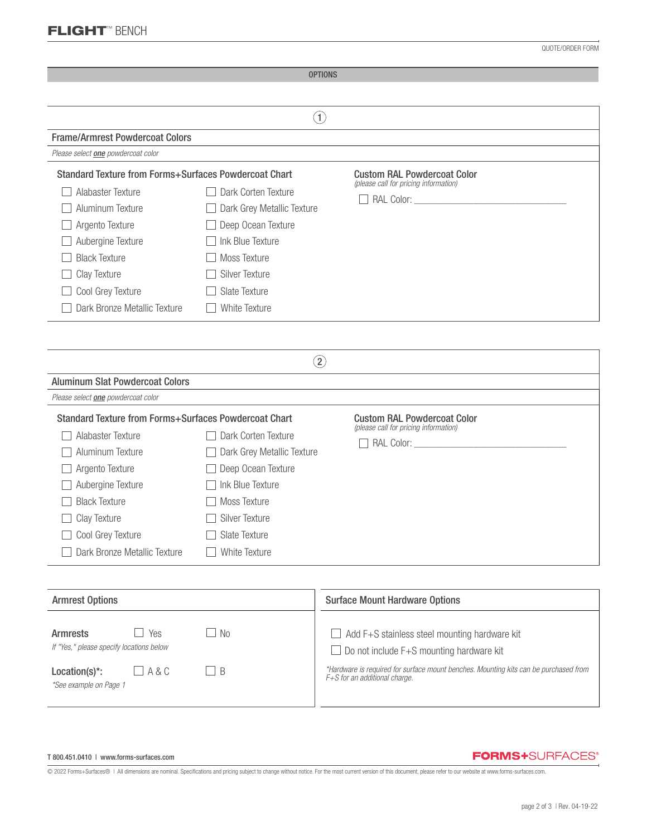## FLIGHT™ BENCH

QUOTE/ORDER FORM

| <b>OPTIONS</b>                                                                                     |                            |                                                                                                                       |  |  |
|----------------------------------------------------------------------------------------------------|----------------------------|-----------------------------------------------------------------------------------------------------------------------|--|--|
|                                                                                                    |                            |                                                                                                                       |  |  |
| $\left( 1\right)$                                                                                  |                            |                                                                                                                       |  |  |
| <b>Frame/Armrest Powdercoat Colors</b>                                                             |                            |                                                                                                                       |  |  |
| Please select <b>one</b> powdercoat color                                                          |                            |                                                                                                                       |  |  |
| <b>Standard Texture from Forms+Surfaces Powdercoat Chart</b><br><b>Custom RAL Powdercoat Color</b> |                            |                                                                                                                       |  |  |
| Alabaster Texture                                                                                  | Dark Corten Texture        | (please call for pricing information)                                                                                 |  |  |
| Aluminum Texture                                                                                   | Dark Grey Metallic Texture |                                                                                                                       |  |  |
| Argento Texture                                                                                    | Deep Ocean Texture         |                                                                                                                       |  |  |
| Aubergine Texture                                                                                  | Ink Blue Texture           |                                                                                                                       |  |  |
| <b>Black Texture</b>                                                                               | Moss Texture               |                                                                                                                       |  |  |
| Clay Texture                                                                                       | <b>Silver Texture</b>      |                                                                                                                       |  |  |
| Cool Grey Texture                                                                                  | Slate Texture              |                                                                                                                       |  |  |
| Dark Bronze Metallic Texture                                                                       | White Texture              |                                                                                                                       |  |  |
|                                                                                                    |                            |                                                                                                                       |  |  |
|                                                                                                    |                            |                                                                                                                       |  |  |
|                                                                                                    | $\rm(2)$                   |                                                                                                                       |  |  |
| <b>Aluminum Slat Powdercoat Colors</b>                                                             |                            |                                                                                                                       |  |  |
| Please select <b>one</b> powdercoat color                                                          |                            |                                                                                                                       |  |  |
| <b>Standard Texture from Forms+Surfaces Powdercoat Chart</b>                                       |                            |                                                                                                                       |  |  |
|                                                                                                    |                            | <b>Custom RAL Powdercoat Color</b><br>(please call for pricing information)                                           |  |  |
| Alabaster Texture                                                                                  | Dark Corten Texture        |                                                                                                                       |  |  |
| Aluminum Texture                                                                                   | Dark Grey Metallic Texture |                                                                                                                       |  |  |
| Argento Texture                                                                                    | Deep Ocean Texture         |                                                                                                                       |  |  |
| Aubergine Texture                                                                                  | Ink Blue Texture           |                                                                                                                       |  |  |
| <b>Black Texture</b><br>Moss Texture                                                               |                            |                                                                                                                       |  |  |
| Clay Texture<br>Silver Texture                                                                     |                            |                                                                                                                       |  |  |
| Cool Grey Texture                                                                                  | Slate Texture              |                                                                                                                       |  |  |
| Dark Bronze Metallic Texture                                                                       | <b>White Texture</b>       |                                                                                                                       |  |  |
|                                                                                                    |                            |                                                                                                                       |  |  |
|                                                                                                    |                            |                                                                                                                       |  |  |
| <b>Armrest Options</b>                                                                             |                            | <b>Surface Mount Hardware Options</b>                                                                                 |  |  |
|                                                                                                    |                            |                                                                                                                       |  |  |
| Yes<br><b>Armrests</b><br>If "Yes," please specify locations below                                 | N <sub>0</sub>             | Add F+S stainless steel mounting hardware kit                                                                         |  |  |
|                                                                                                    |                            | Do not include F+S mounting hardware kit                                                                              |  |  |
| Location(s)*:<br>A&C                                                                               | B                          | *Hardware is required for surface mount benches. Mounting kits can be purchased from<br>F+S for an additional charge. |  |  |

#### T 800.451.0410 | www.forms-surfaces.com

*\*See example on Page 1*

### **FORMS+**SURFACES®

© 2022 Forms+Surfaces® | All dimensions are nominal. Specifications and pricing subject to change without notice. For the most current version of this document, please refer to our website at www.forms-surfaces.com.